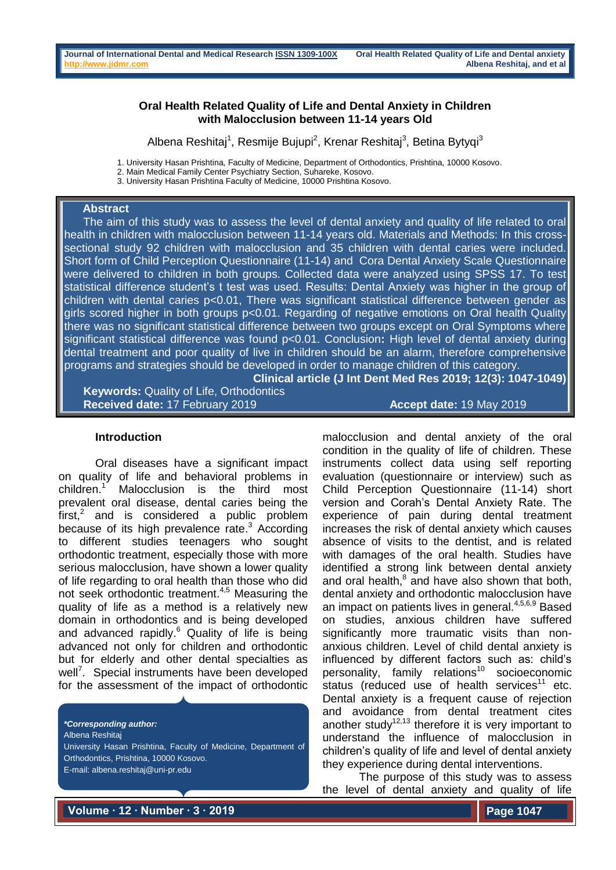### **Oral Health Related Quality of Life and Dental Anxiety in Children with Malocclusion between 11-14 years Old**

Albena Reshitaj<sup>1</sup>, Resmije Bujupi<sup>2</sup>, Krenar Reshitaj<sup>3</sup>, Betina Bytyqi<sup>3</sup>

1. University Hasan Prishtina, Faculty of Medicine, Department of Orthodontics, Prishtina, 10000 Kosovo.

- 2. Main Medical Family Center Psychiatry Section, Suhareke, Kosovo.
- 3. University Hasan Prishtina Faculty of Medicine, 10000 Prishtina Kosovo.

#### **Abstract**

 The aim of this study was to assess the level of dental anxiety and quality of life related to oral health in children with malocclusion between 11-14 years old. Materials and Methods: In this crosssectional study 92 children with malocclusion and 35 children with dental caries were included. Short form of Child Perception Questionnaire (11-14) and Cora Dental Anxiety Scale Questionnaire were delivered to children in both groups. Collected data were analyzed using SPSS 17. To test statistical difference student's t test was used. Results: Dental Anxiety was higher in the group of children with dental caries p<0.01, There was significant statistical difference between gender as girls scored higher in both groups p<0.01. Regarding of negative emotions on Oral health Quality there was no significant statistical difference between two groups except on Oral Symptoms where significant statistical difference was found p<0.01. Conclusion**:** High level of dental anxiety during dental treatment and poor quality of live in children should be an alarm, therefore comprehensive programs and strategies should be developed in order to manage children of this category.

**Clinical article (J Int Dent Med Res 2019; 12(3): 1047-1049) Keywords:** Quality of Life, Orthodontics **Received date:** 17 February 2019 **Accept date:** 19 May 2019

#### **Introduction**

Oral diseases have a significant impact on quality of life and behavioral problems in children. Malocclusion is the third most prevalent oral disease, dental caries being the  $first<sub>i</sub><sup>2</sup>$  and is considered a public problem because of its high prevalence rate.<sup>3</sup> According to different studies teenagers who sought orthodontic treatment, especially those with more serious malocclusion, have shown a lower quality of life regarding to oral health than those who did not seek orthodontic treatment.<sup>4,5</sup> Measuring the quality of life as a method is a relatively new domain in orthodontics and is being developed and advanced rapidly.<sup>6</sup> Quality of life is being advanced not only for children and orthodontic but for elderly and other dental specialties as well<sup>7</sup>. Special instruments have been developed for the assessment of the impact of orthodontic

*\*Corresponding author:* Albena Reshitaj

University Hasan Prishtina, Faculty of Medicine, Department of Orthodontics, Prishtina, 10000 Kosovo.

E-mail: albena.reshitaj@uni-pr.edu

malocclusion and dental anxiety of the oral condition in the quality of life of children. These instruments collect data using self reporting evaluation (questionnaire or interview) such as Child Perception Questionnaire (11-14) short version and Corah's Dental Anxiety Rate. The experience of pain during dental treatment increases the risk of dental anxiety which causes absence of visits to the dentist, and is related with damages of the oral health. Studies have identified a strong link between dental anxiety and oral health, $<sup>8</sup>$  and have also shown that both,</sup> dental anxiety and orthodontic malocclusion have an impact on patients lives in general. 4,5,6,9 Based on studies, anxious children have suffered significantly more traumatic visits than nonanxious children. Level of child dental anxiety is influenced by different factors such as: child's personality, family relations<sup>10</sup> socioeconomic status (reduced use of health services<sup>11</sup> etc. Dental anxiety is a frequent cause of rejection and avoidance from dental treatment cites another study<sup>12,13</sup> therefore it is very important to understand the influence of malocclusion in children's quality of life and level of dental anxiety they experience during dental interventions.

The purpose of this study was to assess the level of dental anxiety and quality of life

**Volume ∙ 12 ∙ Number ∙ 3 ∙ 2019**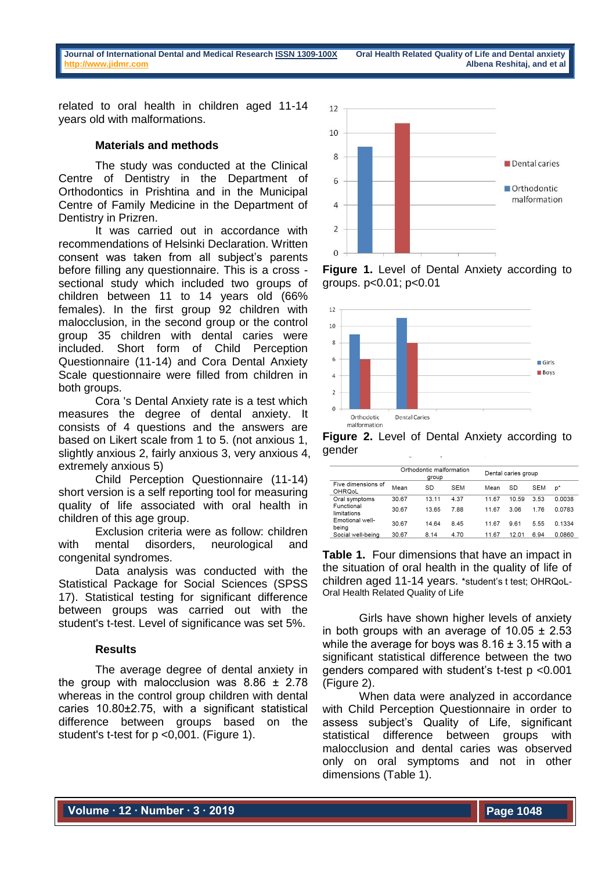**Journal of International Dental and Medical Research [ISSN 1309-100X](http://www.ektodermaldisplazi.com/dergi.htm) Oral Health Related Quality of Life and Dental anxiety [http://www.jidmr.com](http://www.jidmr.com/) Albena Reshitaj, and et al**

related to oral health in children aged 11-14 years old with malformations.

## **Materials and methods**

The study was conducted at the Clinical Centre of Dentistry in the Department of Orthodontics in Prishtina and in the Municipal Centre of Family Medicine in the Department of Dentistry in Prizren.

It was carried out in accordance with recommendations of Helsinki Declaration. Written consent was taken from all subject's parents before filling any questionnaire. This is a cross sectional study which included two groups of children between 11 to 14 years old (66% females). In the first group 92 children with malocclusion, in the second group or the control group 35 children with dental caries were included. Short form of Child Perception Questionnaire (11-14) and Cora Dental Anxiety Scale questionnaire were filled from children in both groups.

Cora 's Dental Anxiety rate is a test which measures the degree of dental anxiety. It consists of 4 questions and the answers are based on Likert scale from 1 to 5. (not anxious 1, slightly anxious 2, fairly anxious 3, very anxious 4, extremely anxious 5)

Child Perception Questionnaire (11-14) short version is a self reporting tool for measuring quality of life associated with oral health in children of this age group.

Exclusion criteria were as follow: children with mental disorders, neurological and congenital syndromes.

Data analysis was conducted with the Statistical Package for Social Sciences (SPSS 17). Statistical testing for significant difference between groups was carried out with the student's t-test. Level of significance was set 5%.

# **Results**

The average degree of dental anxiety in the group with malocclusion was  $8.86 \pm 2.78$ whereas in the control group children with dental caries 10.80±2.75, with a significant statistical difference between groups based on the student's t-test for p <0,001. (Figure 1).



**Figure 1.** Level of Dental Anxiety according to groups. p<0.01; p<0.01



**Figure 2.** Level of Dental Anxiety according to gender

|                              | Orthodontic malformation<br>group |       |            | Dental caries group |       |            |        |
|------------------------------|-----------------------------------|-------|------------|---------------------|-------|------------|--------|
| Five dimensions of<br>OHRQoL | Mean                              | SD    | <b>SEM</b> | Mean                | SD    | <b>SEM</b> | p*     |
| Oral symptoms                | 30.67                             | 13.11 | 4.37       | 11.67               | 10.59 | 3.53       | 0.0038 |
| Functional<br>limitations    | 30.67                             | 13.65 | 7.88       | 11.67               | 3.06  | 1.76       | 0.0783 |
| Emotional well-<br>being     | 30.67                             | 14.64 | 8.45       | 11.67               | 9.61  | 5.55       | 0.1334 |
| Social well-being            | 30.67                             | 8.14  | 4.70       | 11.67               | 12.01 | 6.94       | 0.0860 |

**Table 1.** Four dimensions that have an impact in the situation of oral health in the quality of life of children aged 11-14 years. \*student's t test; OHRQoL-Oral Health Related Quality of Life

Girls have shown higher levels of anxiety in both groups with an average of  $10.05 \pm 2.53$ while the average for boys was  $8.16 \pm 3.15$  with a significant statistical difference between the two genders compared with student's t-test p <0.001 (Figure 2).

When data were analyzed in accordance with Child Perception Questionnaire in order to assess subject's Quality of Life, significant statistical difference between groups with malocclusion and dental caries was observed only on oral symptoms and not in other dimensions (Table 1).